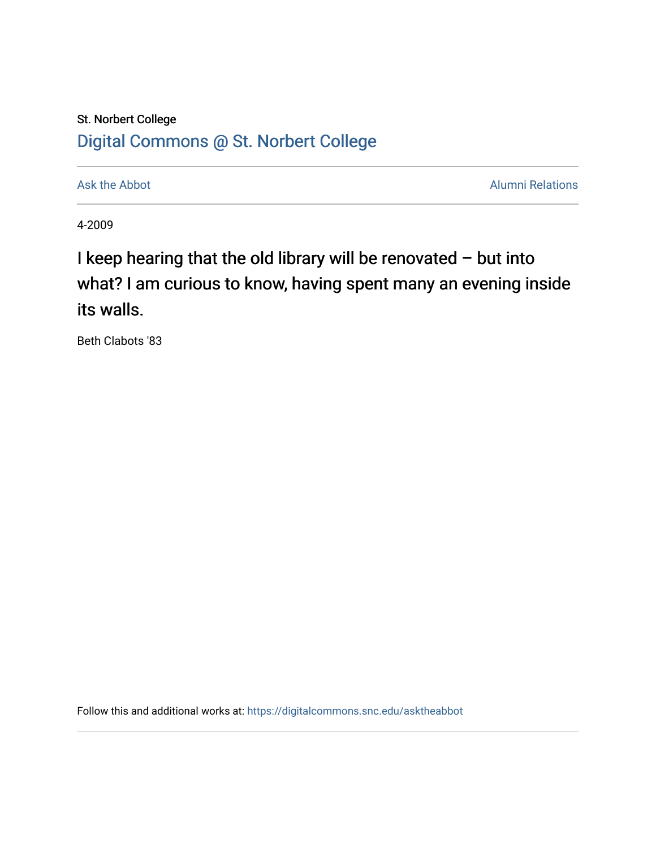# St. Norbert College [Digital Commons @ St. Norbert College](https://digitalcommons.snc.edu/)

[Ask the Abbot](https://digitalcommons.snc.edu/asktheabbot) **Alumni Relations** Ask the Abbot **Alumni Relations** 

4-2009

I keep hearing that the old library will be renovated – but into what? I am curious to know, having spent many an evening inside its walls.

Beth Clabots '83

Follow this and additional works at: [https://digitalcommons.snc.edu/asktheabbot](https://digitalcommons.snc.edu/asktheabbot?utm_source=digitalcommons.snc.edu%2Fasktheabbot%2F47&utm_medium=PDF&utm_campaign=PDFCoverPages)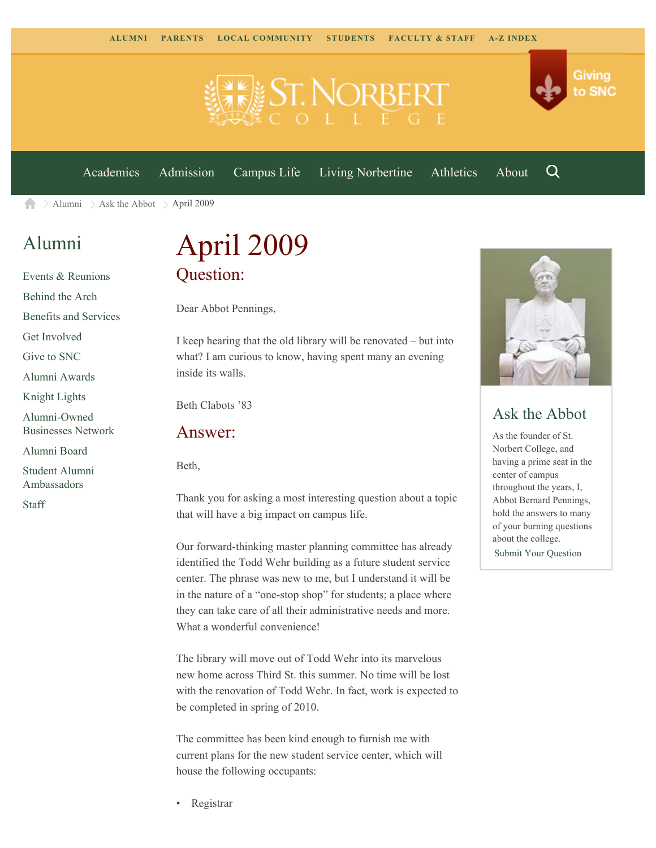

[Academics](https://www.snc.edu/academics) [Admission](https://www.snc.edu/admission) [Campus Life](https://www.snc.edu/campuslife) [Living Norbertine](https://www.snc.edu/livingnorbertine) [Athletics](https://www.snc.edu/athletics) [About](https://www.snc.edu/about)

Q

Giving

to SNC

 $\ge$  [Alumni](https://www.snc.edu/alumni/)  $\ge$  [Ask the Abbot](https://www.snc.edu/alumni/abbot/)  $\ge$  April 2009 合

# [Alumni](https://www.snc.edu/alumni/index.html)

[Events & Reunions](https://www.snc.edu/alumni/event/index.html) [Behind the Arch](https://www.snc.edu/alumni/event/behindthearch/) [Benefits and Services](https://www.snc.edu/alumni/benefits.html) [Get Involved](https://www.snc.edu/alumni/getinvolved.html) [Give to SNC](http://giving.snc.edu/) [Alumni Awards](https://www.snc.edu/alumni/awards/index.html) [Knight Lights](https://www.snc.edu/alumni/knightlights/index.html) [Alumni-Owned](https://www.snc.edu/alumni/directory/index.html) [Businesses Network](https://www.snc.edu/alumni/directory/index.html) [Alumni Board](https://www.snc.edu/alumni/alumniboard.html) [Student Alumni](https://www.snc.edu/alumni/saa.html) [Ambassadors](https://www.snc.edu/alumni/saa.html)

[Staff](https://www.snc.edu/alumni/contactus.html)

# April 2009 Question:

Dear Abbot Pennings,

I keep hearing that the old library will be renovated – but into what? I am curious to know, having spent many an evening inside its walls.

Beth Clabots '83

## Answer:

Beth,

Thank you for asking a most interesting question about a topic that will have a big impact on campus life.

Our forward-thinking master planning committee has already identified the Todd Wehr building as a future student service center. The phrase was new to me, but I understand it will be in the nature of a "one-stop shop" for students; a place where they can take care of all their administrative needs and more. What a wonderful convenience!

The library will move out of Todd Wehr into its marvelous new home across Third St. this summer. No time will be lost with the renovation of Todd Wehr. In fact, work is expected to be completed in spring of 2010.

The committee has been kind enough to furnish me with current plans for the new student service center, which will house the following occupants:



## Ask the Abbot

As the founder of St. Norbert College, and having a prime seat in the center of campus throughout the years, I, Abbot Bernard Pennings, hold the answers to many of your burning questions about the college. [Submit Your Question](https://www.snc.edu/alumni/abbot/index.html)

• Registrar